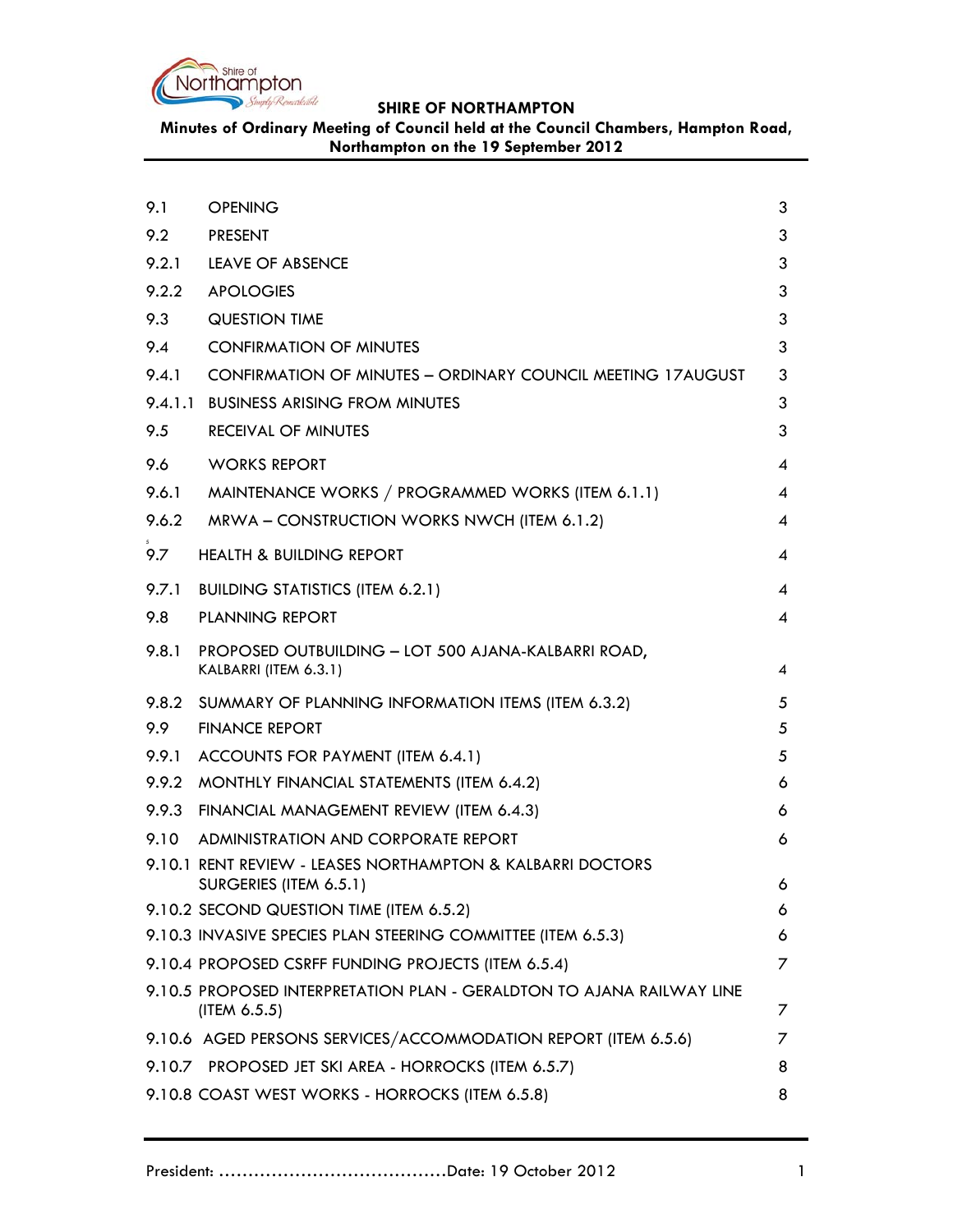

**Minutes of Ordinary Meeting of Council held at the Council Chambers, Hampton Road, Northampton on the 19 September 2012**

| 9.1   | <b>OPENING</b>                                                                        | 3 |
|-------|---------------------------------------------------------------------------------------|---|
| 9.2   | <b>PRESENT</b>                                                                        | 3 |
| 9.2.1 | <b>LEAVE OF ABSENCE</b>                                                               | 3 |
| 9.2.2 | <b>APOLOGIES</b>                                                                      | 3 |
| 9.3   | <b>QUESTION TIME</b>                                                                  | 3 |
| 9.4   | <b>CONFIRMATION OF MINUTES</b>                                                        | 3 |
| 9.4.1 | CONFIRMATION OF MINUTES - ORDINARY COUNCIL MEETING 17AUGUST                           | 3 |
|       | 9.4.1.1 BUSINESS ARISING FROM MINUTES                                                 | 3 |
| 9.5   | <b>RECEIVAL OF MINUTES</b>                                                            | 3 |
| 9.6   | <b>WORKS REPORT</b>                                                                   | 4 |
| 9.6.1 | MAINTENANCE WORKS / PROGRAMMED WORKS (ITEM 6.1.1)                                     | 4 |
| 9.6.2 | MRWA - CONSTRUCTION WORKS NWCH (ITEM 6.1.2)                                           | 4 |
| 9.7   | <b>HEALTH &amp; BUILDING REPORT</b>                                                   | 4 |
| 9.7.1 | <b>BUILDING STATISTICS (ITEM 6.2.1)</b>                                               | 4 |
| 9.8   | <b>PLANNING REPORT</b>                                                                | 4 |
| 9.8.1 | PROPOSED OUTBUILDING - LOT 500 AJANA-KALBARRI ROAD,<br>KALBARRI (ITEM 6.3.1)          | 4 |
| 9.8.2 | SUMMARY OF PLANNING INFORMATION ITEMS (ITEM 6.3.2)                                    | 5 |
| 9.9   | <b>FINANCE REPORT</b>                                                                 | 5 |
| 9.9.1 | ACCOUNTS FOR PAYMENT (ITEM 6.4.1)                                                     | 5 |
| 9.9.2 | MONTHLY FINANCIAL STATEMENTS (ITEM 6.4.2)                                             | 6 |
| 9.9.3 | FINANCIAL MANAGEMENT REVIEW (ITEM 6.4.3)                                              | 6 |
| 9.10  | ADMINISTRATION AND CORPORATE REPORT                                                   | 6 |
|       | 9.10.1 RENT REVIEW - LEASES NORTHAMPTON & KALBARRI DOCTORS<br>SURGERIES (ITEM 6.5.1)  | 6 |
|       | 9.10.2 SECOND QUESTION TIME (ITEM 6.5.2)                                              | 6 |
|       | 9.10.3 INVASIVE SPECIES PLAN STEERING COMMITTEE (ITEM 6.5.3)                          | 6 |
|       | 9.10.4 PROPOSED CSRFF FUNDING PROJECTS (ITEM 6.5.4)                                   | 7 |
|       | 9.10.5 PROPOSED INTERPRETATION PLAN - GERALDTON TO AJANA RAILWAY LINE<br>(ITEM 6.5.5) | 7 |
|       | 9.10.6 AGED PERSONS SERVICES/ACCOMMODATION REPORT (ITEM 6.5.6)                        | 7 |
|       | 9.10.7 PROPOSED JET SKI AREA - HORROCKS (ITEM 6.5.7)                                  | 8 |
|       | 9.10.8 COAST WEST WORKS - HORROCKS (ITEM 6.5.8)                                       | 8 |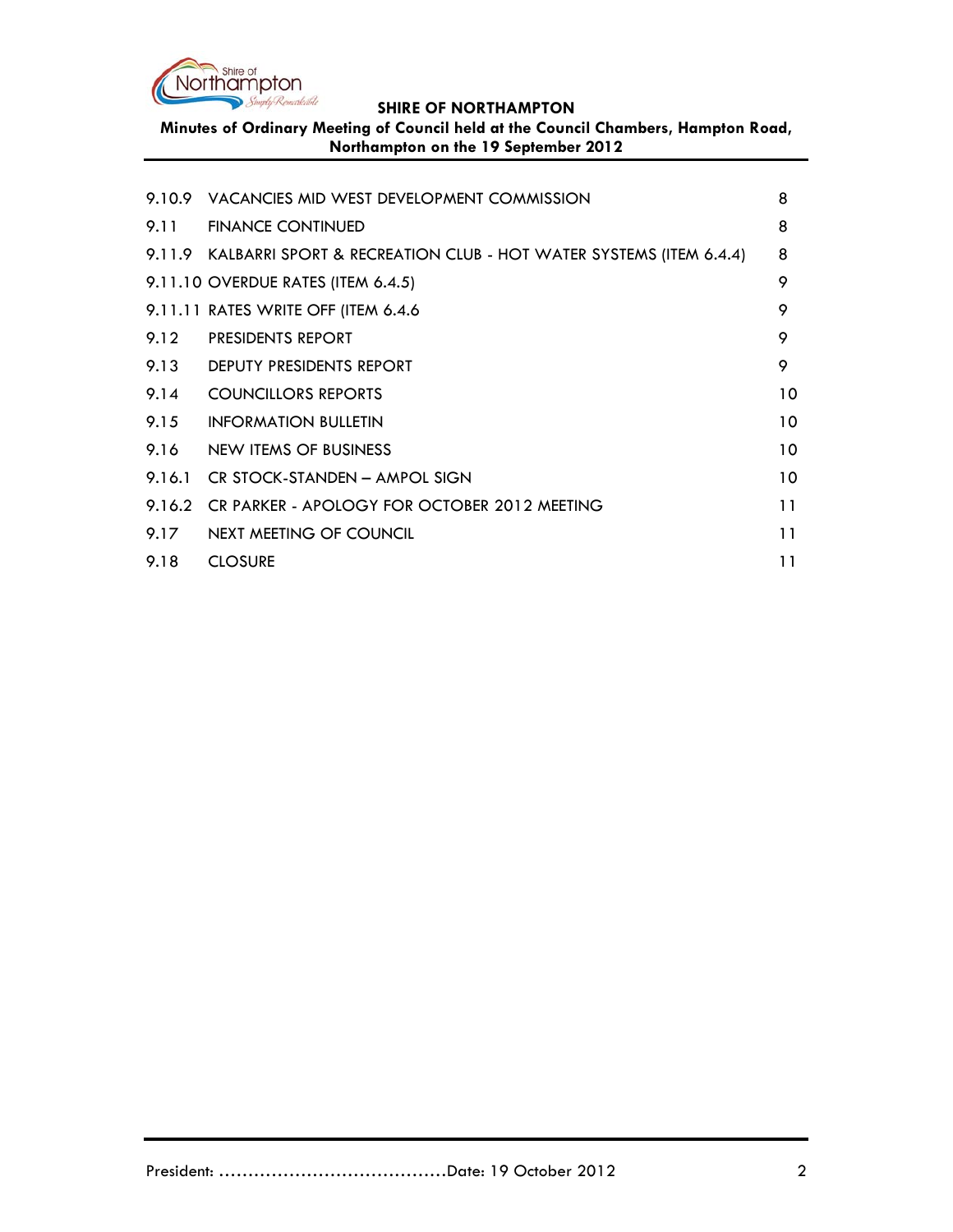

**Minutes of Ordinary Meeting of Council held at the Council Chambers, Hampton Road, Northampton on the 19 September 2012**

|      | 9.10.9 VACANCIES MID WEST DEVELOPMENT COMMISSION                         | 8  |
|------|--------------------------------------------------------------------------|----|
|      | 9.11 FINANCE CONTINUED                                                   | 8  |
|      | 9.11.9 KALBARRI SPORT & RECREATION CLUB - HOT WATER SYSTEMS (ITEM 6.4.4) | 8  |
|      | 9.11.10 OVERDUE RATES (ITEM 6.4.5)                                       | 9  |
|      | 9.11.11 RATES WRITE OFF (ITEM 6.4.6)                                     | 9  |
| 9.12 | <b>PRESIDENTS REPORT</b>                                                 | 9  |
|      | 9.13 DEPUTY PRESIDENTS REPORT                                            | 9  |
| 9.14 | <b>COUNCILLORS REPORTS</b>                                               | 10 |
| 9.15 | <b>INFORMATION BULLETIN</b>                                              | 10 |
|      | 9.16 NEW ITEMS OF BUSINESS                                               | 10 |
|      | 9.16.1 CR STOCK-STANDEN - AMPOL SIGN                                     | 10 |
|      | 9.16.2 CR PARKER - APOLOGY FOR OCTOBER 2012 MEETING                      | 11 |
|      | 9.17 NEXT MEETING OF COUNCIL                                             | 11 |
| 9.18 | <b>CLOSURE</b>                                                           | 11 |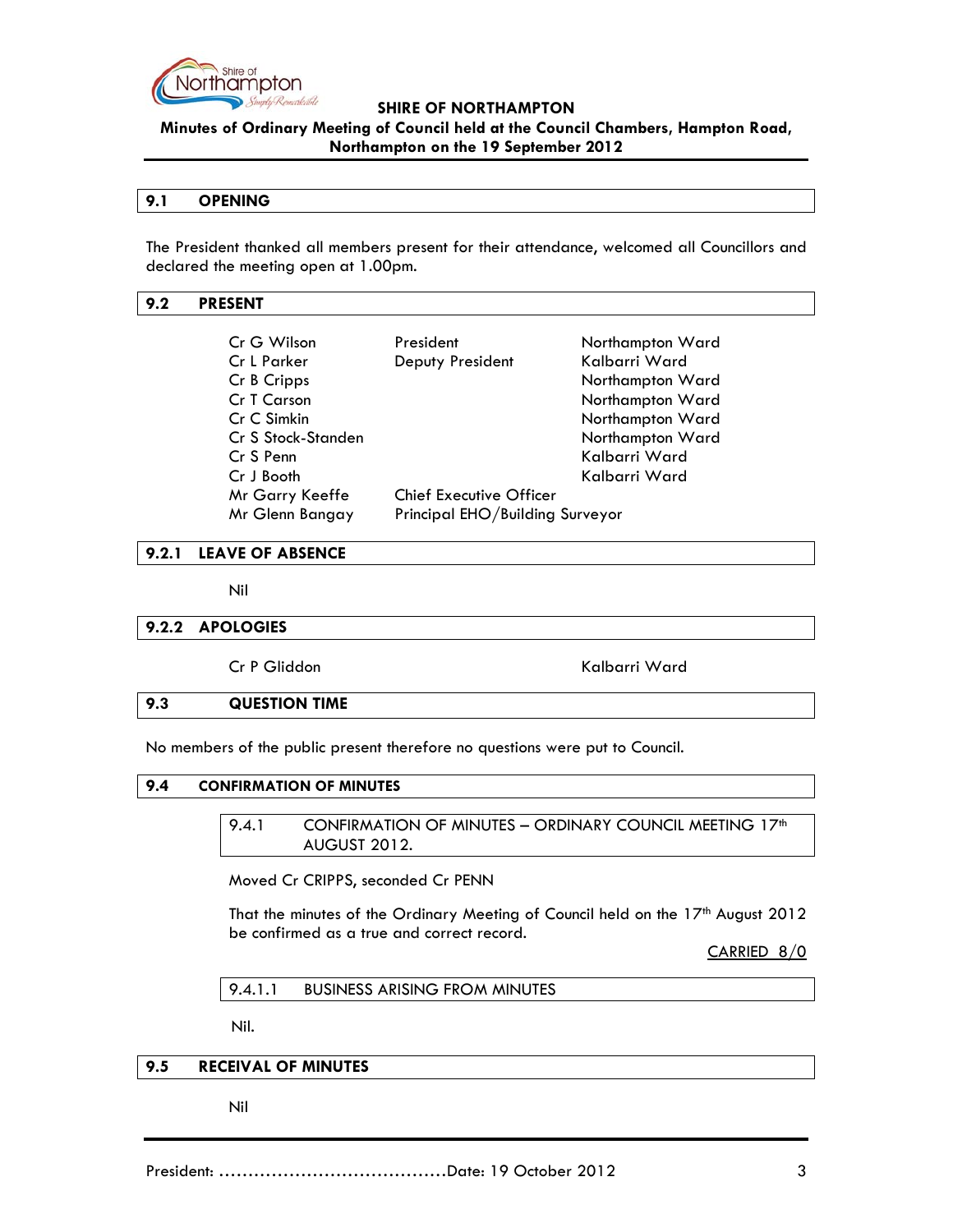

**Minutes of Ordinary Meeting of Council held at the Council Chambers, Hampton Road, Northampton on the 19 September 2012**

### **9.1 OPENING**

The President thanked all members present for their attendance, welcomed all Councillors and declared the meeting open at 1.00pm.

### **9.2 PRESENT**

| Cr G Wilson        | President                       | Northampton Ward |
|--------------------|---------------------------------|------------------|
| Cr L Parker        | Deputy President                | Kalbarri Ward    |
| Cr B Cripps        |                                 | Northampton Ward |
| Cr T Carson        |                                 | Northampton Ward |
| Cr C Simkin        |                                 | Northampton Ward |
| Cr S Stock-Standen |                                 | Northampton Ward |
| Cr S Penn          |                                 | Kalbarri Ward    |
| Cr J Booth         |                                 | Kalbarri Ward    |
| Mr Garry Keeffe    | <b>Chief Executive Officer</b>  |                  |
| Mr Glenn Bangay    | Principal EHO/Building Surveyor |                  |

#### **9.2.1 LEAVE OF ABSENCE**

Nil

#### **9.2.2 APOLOGIES**

Cr P Gliddon Kalbarri Ward

#### **9.3 QUESTION TIME**

No members of the public present therefore no questions were put to Council.

### **9.4 CONFIRMATION OF MINUTES**

9.4.1 CONFIRMATION OF MINUTES - ORDINARY COUNCIL MEETING 17<sup>th</sup> AUGUST 2012.

Moved Cr CRIPPS, seconded Cr PENN

That the minutes of the Ordinary Meeting of Council held on the 17<sup>th</sup> August 2012 be confirmed as a true and correct record.

CARRIED 8/0

9.4.1.1 BUSINESS ARISING FROM MINUTES

Nil.

### **9.5 RECEIVAL OF MINUTES**

Nil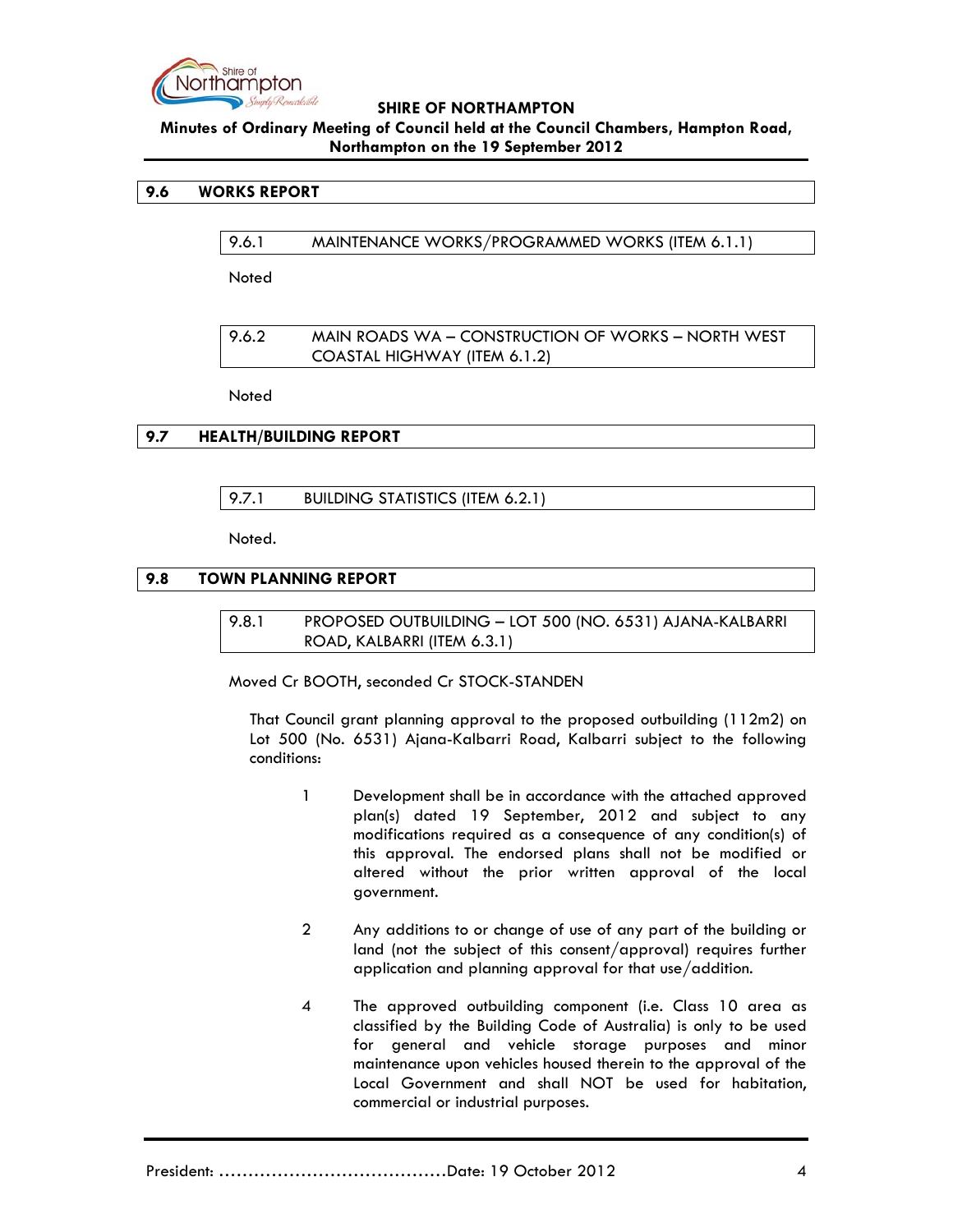

# **Minutes of Ordinary Meeting of Council held at the Council Chambers, Hampton Road, Northampton on the 19 September 2012**

### **9.6 WORKS REPORT**

9.6.1 MAINTENANCE WORKS/PROGRAMMED WORKS (ITEM 6.1.1)

Noted

9.6.2 MAIN ROADS WA – CONSTRUCTION OF WORKS – NORTH WEST COASTAL HIGHWAY (ITEM 6.1.2)

**Noted** 

# **9.7 HEALTH/BUILDING REPORT**

9.7.1 BUILDING STATISTICS (ITEM 6.2.1)

Noted.

# **9.8 TOWN PLANNING REPORT**

9.8.1 PROPOSED OUTBUILDING – LOT 500 (NO. 6531) AJANA-KALBARRI ROAD, KALBARRI (ITEM 6.3.1)

Moved Cr BOOTH, seconded Cr STOCK-STANDEN

That Council grant planning approval to the proposed outbuilding (112m2) on Lot 500 (No. 6531) Ajana-Kalbarri Road, Kalbarri subject to the following conditions:

- 1 Development shall be in accordance with the attached approved plan(s) dated 19 September, 2012 and subject to any modifications required as a consequence of any condition(s) of this approval. The endorsed plans shall not be modified or altered without the prior written approval of the local government.
- 2 Any additions to or change of use of any part of the building or land (not the subject of this consent/approval) requires further application and planning approval for that use/addition.
- 4 The approved outbuilding component (i.e. Class 10 area as classified by the Building Code of Australia) is only to be used for general and vehicle storage purposes and minor maintenance upon vehicles housed therein to the approval of the Local Government and shall NOT be used for habitation, commercial or industrial purposes.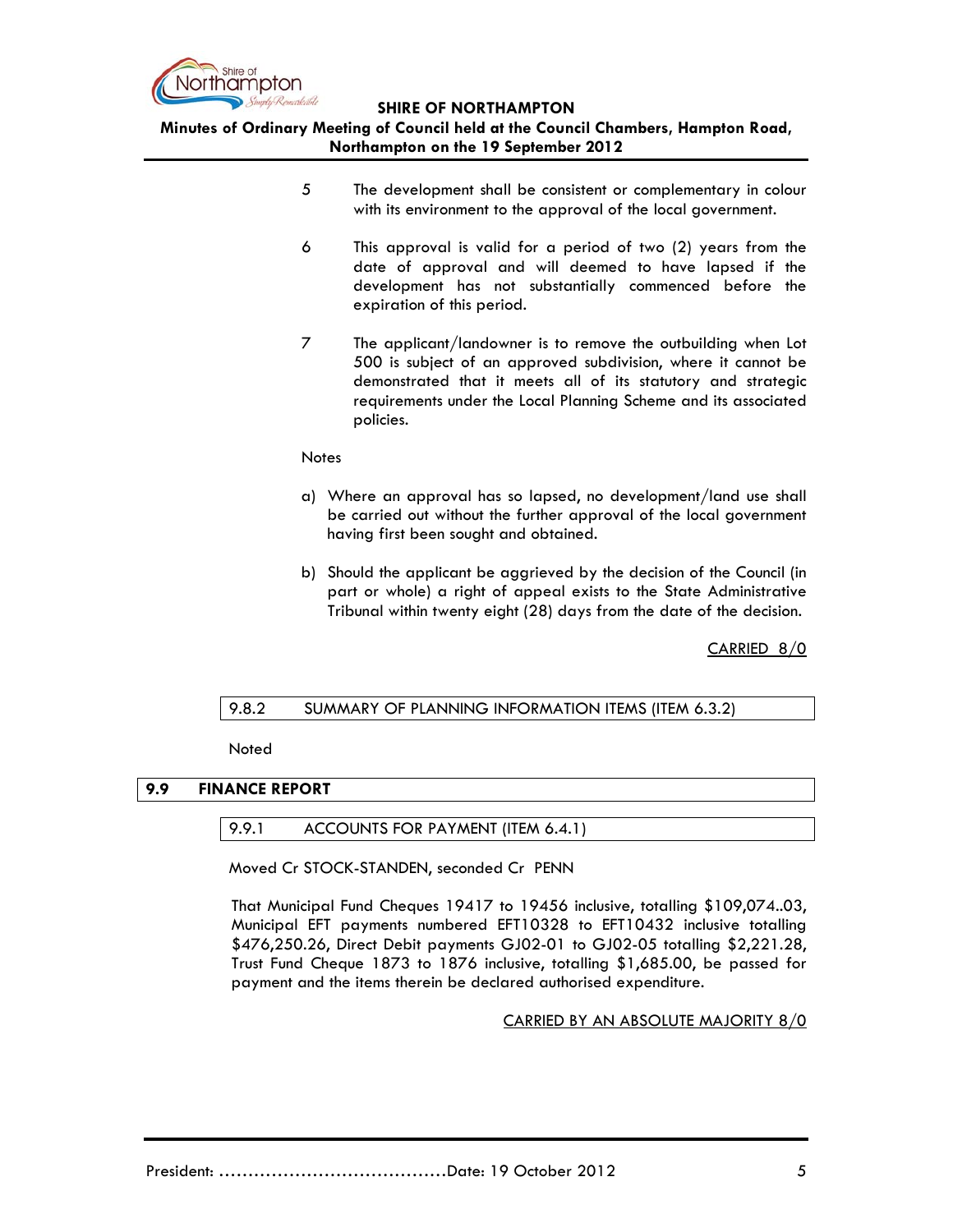

**Minutes of Ordinary Meeting of Council held at the Council Chambers, Hampton Road, Northampton on the 19 September 2012**

- 5 The development shall be consistent or complementary in colour with its environment to the approval of the local government.
- 6 This approval is valid for a period of two (2) years from the date of approval and will deemed to have lapsed if the development has not substantially commenced before the expiration of this period.
- 7 The applicant/landowner is to remove the outbuilding when Lot 500 is subject of an approved subdivision, where it cannot be demonstrated that it meets all of its statutory and strategic requirements under the Local Planning Scheme and its associated policies.

#### **Notes**

- a) Where an approval has so lapsed, no development/land use shall be carried out without the further approval of the local government having first been sought and obtained.
- b) Should the applicant be aggrieved by the decision of the Council (in part or whole) a right of appeal exists to the State Administrative Tribunal within twenty eight (28) days from the date of the decision.

CARRIED 8/0

#### 9.8.2 SUMMARY OF PLANNING INFORMATION ITEMS (ITEM 6.3.2)

Noted

#### **9.9 FINANCE REPORT**

#### 9.9.1 ACCOUNTS FOR PAYMENT (ITEM 6.4.1)

Moved Cr STOCK-STANDEN, seconded Cr PENN

That Municipal Fund Cheques 19417 to 19456 inclusive, totalling \$109,074..03, Municipal EFT payments numbered EFT10328 to EFT10432 inclusive totalling \$476,250.26, Direct Debit payments GJ02-01 to GJ02-05 totalling \$2,221.28, Trust Fund Cheque 1873 to 1876 inclusive, totalling \$1,685.00, be passed for payment and the items therein be declared authorised expenditure.

#### CARRIED BY AN ABSOLUTE MAJORITY 8/0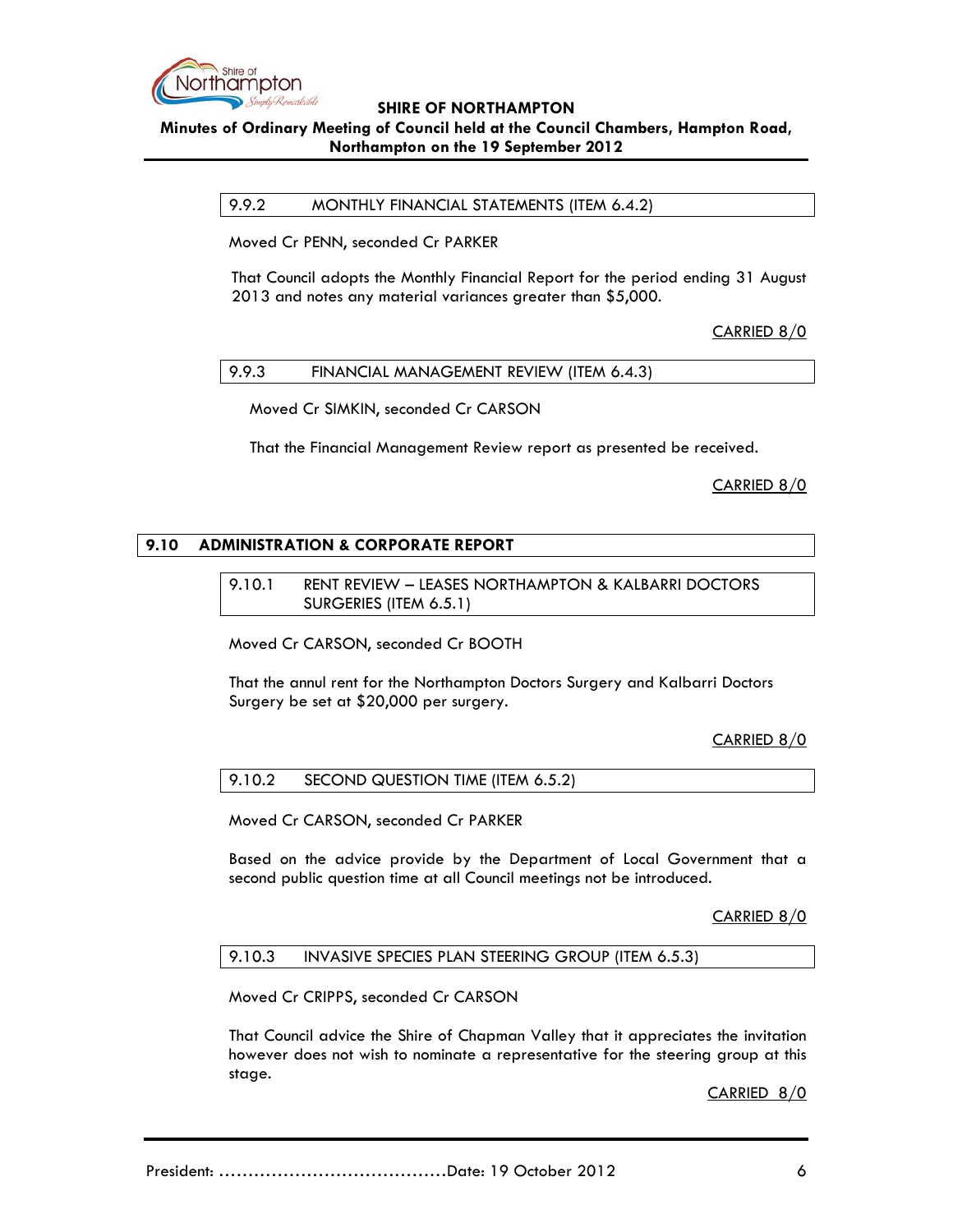

### **Minutes of Ordinary Meeting of Council held at the Council Chambers, Hampton Road, Northampton on the 19 September 2012**

9.9.2 MONTHLY FINANCIAL STATEMENTS (ITEM 6.4.2)

Moved Cr PENN, seconded Cr PARKER

That Council adopts the Monthly Financial Report for the period ending 31 August 2013 and notes any material variances greater than \$5,000.

CARRIED 8/0

9.9.3 FINANCIAL MANAGEMENT REVIEW (ITEM 6.4.3)

Moved Cr SIMKIN, seconded Cr CARSON

That the Financial Management Review report as presented be received.

CARRIED 8/0

### **9.10 ADMINISTRATION & CORPORATE REPORT**

9.10.1 RENT REVIEW – LEASES NORTHAMPTON & KALBARRI DOCTORS SURGERIES (ITEM 6.5.1)

Moved Cr CARSON, seconded Cr BOOTH

That the annul rent for the Northampton Doctors Surgery and Kalbarri Doctors Surgery be set at \$20,000 per surgery.

CARRIED 8/0

9.10.2 SECOND QUESTION TIME (ITEM 6.5.2)

Moved Cr CARSON, seconded Cr PARKER

Based on the advice provide by the Department of Local Government that a second public question time at all Council meetings not be introduced.

CARRIED 8/0

9.10.3 INVASIVE SPECIES PLAN STEERING GROUP (ITEM 6.5.3)

Moved Cr CRIPPS, seconded Cr CARSON

That Council advice the Shire of Chapman Valley that it appreciates the invitation however does not wish to nominate a representative for the steering group at this stage.

CARRIED 8/0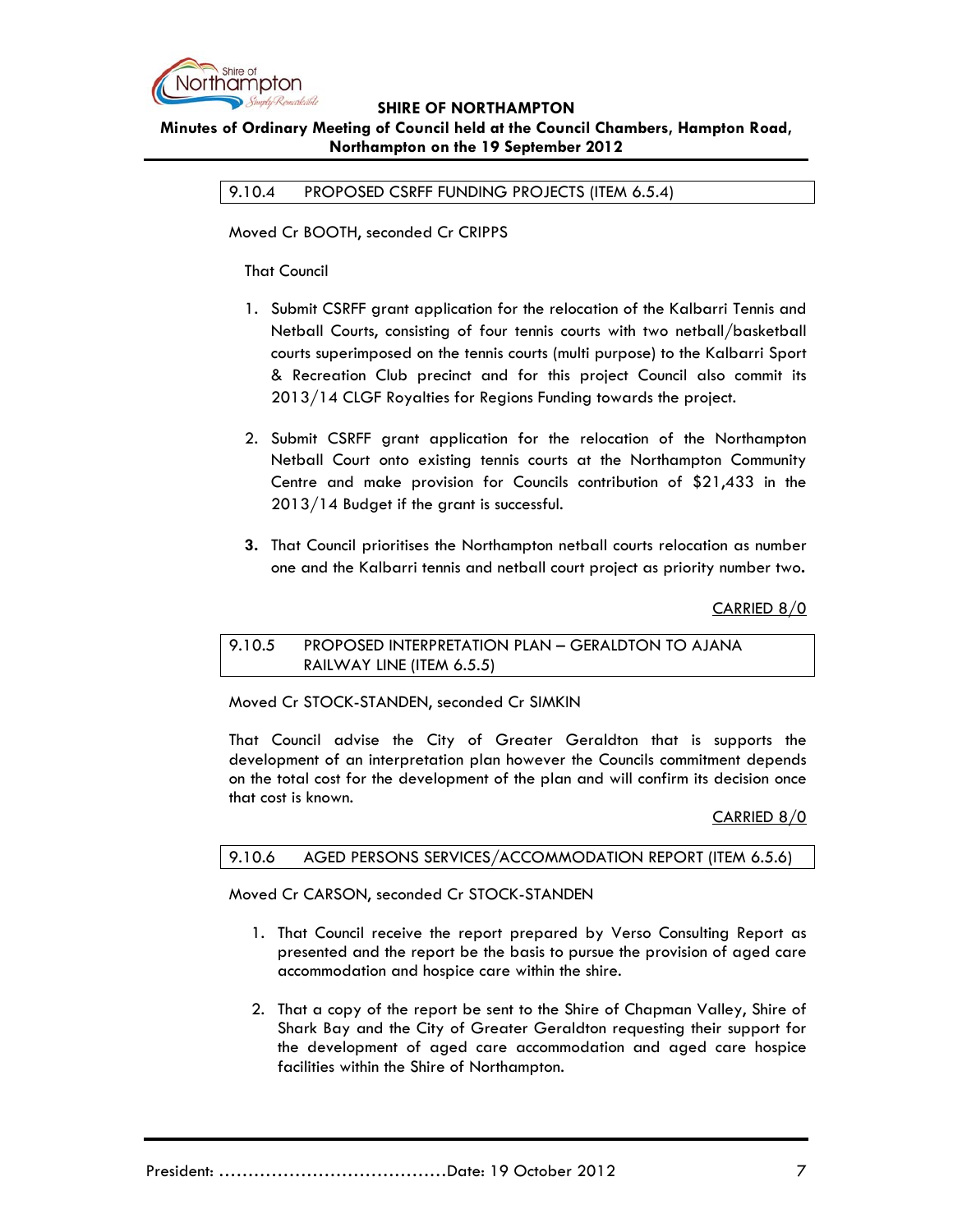

### **SHIRE OF NORTHAMPTON Minutes of Ordinary Meeting of Council held at the Council Chambers, Hampton Road, Northampton on the 19 September 2012**

9.10.4 PROPOSED CSRFF FUNDING PROJECTS (ITEM 6.5.4)

Moved Cr BOOTH, seconded Cr CRIPPS

That Council

- 1. Submit CSRFF grant application for the relocation of the Kalbarri Tennis and Netball Courts, consisting of four tennis courts with two netball/basketball courts superimposed on the tennis courts (multi purpose) to the Kalbarri Sport & Recreation Club precinct and for this project Council also commit its 2013/14 CLGF Royalties for Regions Funding towards the project.
- 2. Submit CSRFF grant application for the relocation of the Northampton Netball Court onto existing tennis courts at the Northampton Community Centre and make provision for Councils contribution of \$21,433 in the 2013/14 Budget if the grant is successful.
- **3.** That Council prioritises the Northampton netball courts relocation as number one and the Kalbarri tennis and netball court project as priority number two**.**

CARRIED 8/0

#### 9.10.5 PROPOSED INTERPRETATION PLAN – GERALDTON TO AJANA RAILWAY LINE (ITEM 6.5.5)

Moved Cr STOCK-STANDEN, seconded Cr SIMKIN

That Council advise the City of Greater Geraldton that is supports the development of an interpretation plan however the Councils commitment depends on the total cost for the development of the plan and will confirm its decision once that cost is known.

CARRIED 8/0

# 9.10.6 AGED PERSONS SERVICES/ACCOMMODATION REPORT (ITEM 6.5.6)

Moved Cr CARSON, seconded Cr STOCK-STANDEN

- 1. That Council receive the report prepared by Verso Consulting Report as presented and the report be the basis to pursue the provision of aged care accommodation and hospice care within the shire.
- 2. That a copy of the report be sent to the Shire of Chapman Valley, Shire of Shark Bay and the City of Greater Geraldton requesting their support for the development of aged care accommodation and aged care hospice facilities within the Shire of Northampton.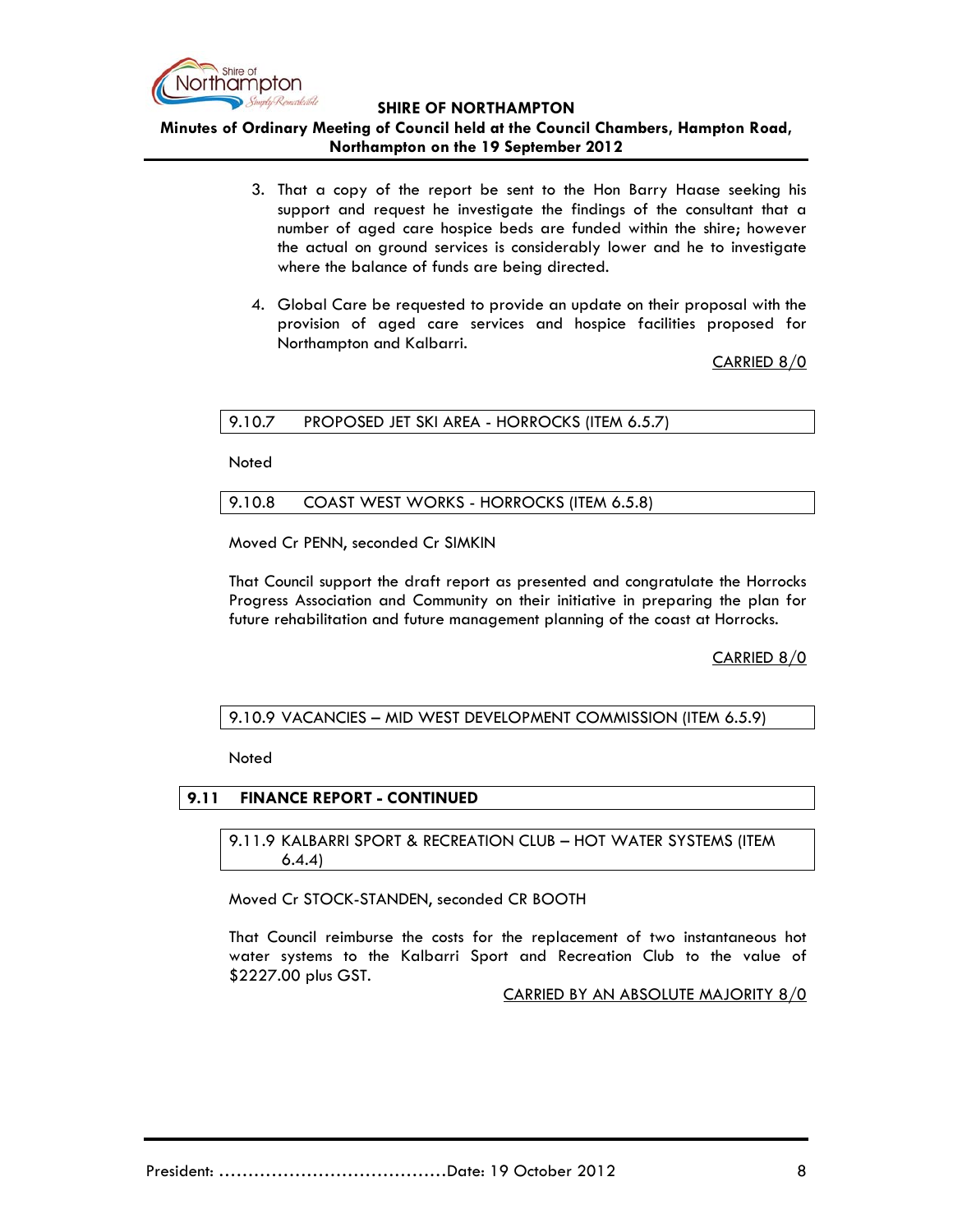

**Minutes of Ordinary Meeting of Council held at the Council Chambers, Hampton Road, Northampton on the 19 September 2012**

- 3. That a copy of the report be sent to the Hon Barry Haase seeking his support and request he investigate the findings of the consultant that a number of aged care hospice beds are funded within the shire; however the actual on ground services is considerably lower and he to investigate where the balance of funds are being directed.
- 4. Global Care be requested to provide an update on their proposal with the provision of aged care services and hospice facilities proposed for Northampton and Kalbarri.

CARRIED 8/0

#### 9.10.7 PROPOSED JET SKI AREA - HORROCKS (ITEM 6.5.7)

Noted

#### 9.10.8 COAST WEST WORKS - HORROCKS (ITEM 6.5.8)

Moved Cr PENN, seconded Cr SIMKIN

That Council support the draft report as presented and congratulate the Horrocks Progress Association and Community on their initiative in preparing the plan for future rehabilitation and future management planning of the coast at Horrocks.

CARRIED 8/0

9.10.9 VACANCIES – MID WEST DEVELOPMENT COMMISSION (ITEM 6.5.9)

**Noted** 

#### **9.11 FINANCE REPORT - CONTINUED**

9.11.9 KALBARRI SPORT & RECREATION CLUB – HOT WATER SYSTEMS (ITEM 6.4.4)

Moved Cr STOCK-STANDEN, seconded CR BOOTH

That Council reimburse the costs for the replacement of two instantaneous hot water systems to the Kalbarri Sport and Recreation Club to the value of \$2227.00 plus GST.

CARRIED BY AN ABSOLUTE MAJORITY 8/0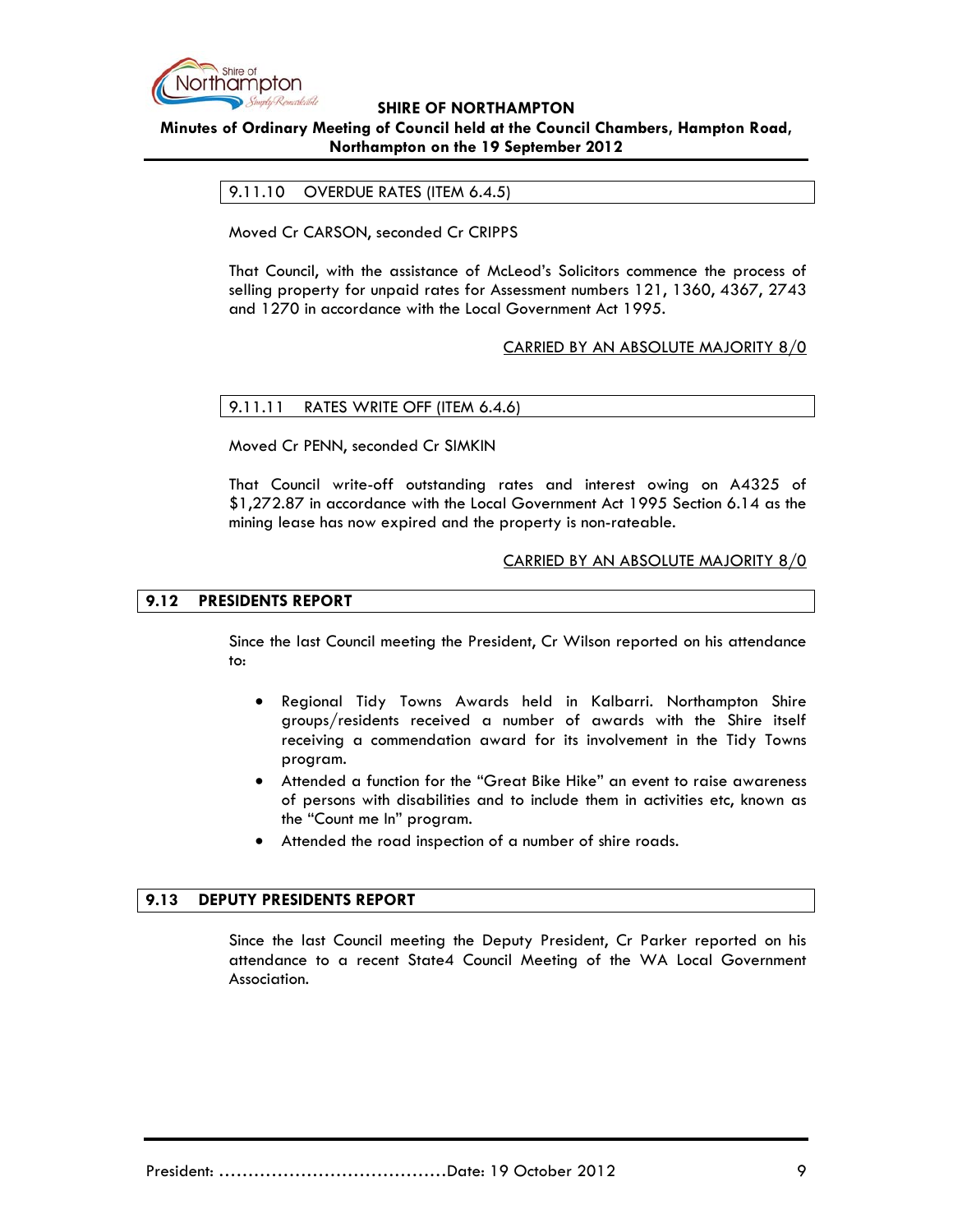

# **Minutes of Ordinary Meeting of Council held at the Council Chambers, Hampton Road, Northampton on the 19 September 2012**

### 9.11.10 OVERDUE RATES (ITEM 6.4.5)

Moved Cr CARSON, seconded Cr CRIPPS

That Council, with the assistance of McLeod's Solicitors commence the process of selling property for unpaid rates for Assessment numbers 121, 1360, 4367, 2743 and 1270 in accordance with the Local Government Act 1995.

### CARRIED BY AN ABSOLUTE MAJORITY 8/0

#### 9.11.11 RATES WRITE OFF (ITEM 6.4.6)

Moved Cr PENN, seconded Cr SIMKIN

That Council write-off outstanding rates and interest owing on A4325 of \$1,272.87 in accordance with the Local Government Act 1995 Section 6.14 as the mining lease has now expired and the property is non-rateable.

#### CARRIED BY AN ABSOLUTE MAJORITY 8/0

#### **9.12 PRESIDENTS REPORT**

Since the last Council meeting the President, Cr Wilson reported on his attendance to:

- Regional Tidy Towns Awards held in Kalbarri. Northampton Shire groups/residents received a number of awards with the Shire itself receiving a commendation award for its involvement in the Tidy Towns program.
- Attended a function for the "Great Bike Hike" an event to raise awareness of persons with disabilities and to include them in activities etc, known as the "Count me In" program.
- Attended the road inspection of a number of shire roads.

#### **9.13 DEPUTY PRESIDENTS REPORT**

Since the last Council meeting the Deputy President, Cr Parker reported on his attendance to a recent State4 Council Meeting of the WA Local Government Association.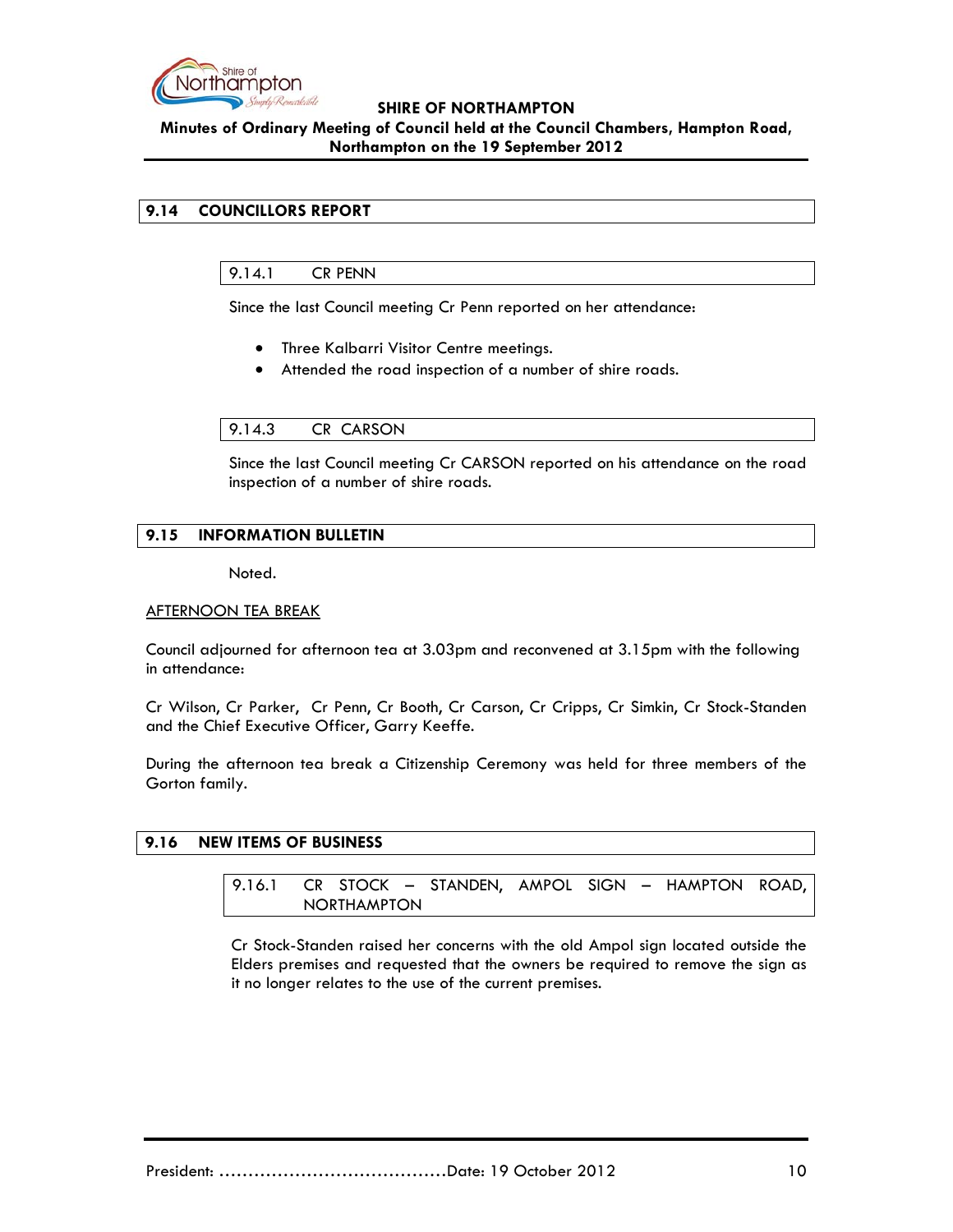

### **SHIRE OF NORTHAMPTON Minutes of Ordinary Meeting of Council held at the Council Chambers, Hampton Road, Northampton on the 19 September 2012**

# **9.14 COUNCILLORS REPORT**

### 9.14.1 CR PENN

Since the last Council meeting Cr Penn reported on her attendance:

- Three Kalbarri Visitor Centre meetings.
- Attended the road inspection of a number of shire roads.

#### 9.14.3 CR CARSON

Since the last Council meeting Cr CARSON reported on his attendance on the road inspection of a number of shire roads.

### **9.15 INFORMATION BULLETIN**

Noted.

#### AFTERNOON TEA BREAK

Council adjourned for afternoon tea at 3.03pm and reconvened at 3.15pm with the following in attendance:

Cr Wilson, Cr Parker, Cr Penn, Cr Booth, Cr Carson, Cr Cripps, Cr Simkin, Cr Stock-Standen and the Chief Executive Officer, Garry Keeffe.

During the afternoon tea break a Citizenship Ceremony was held for three members of the Gorton family.

#### **9.16 NEW ITEMS OF BUSINESS**

9.16.1 CR STOCK – STANDEN, AMPOL SIGN – HAMPTON ROAD, NORTHAMPTON

Cr Stock-Standen raised her concerns with the old Ampol sign located outside the Elders premises and requested that the owners be required to remove the sign as it no longer relates to the use of the current premises.